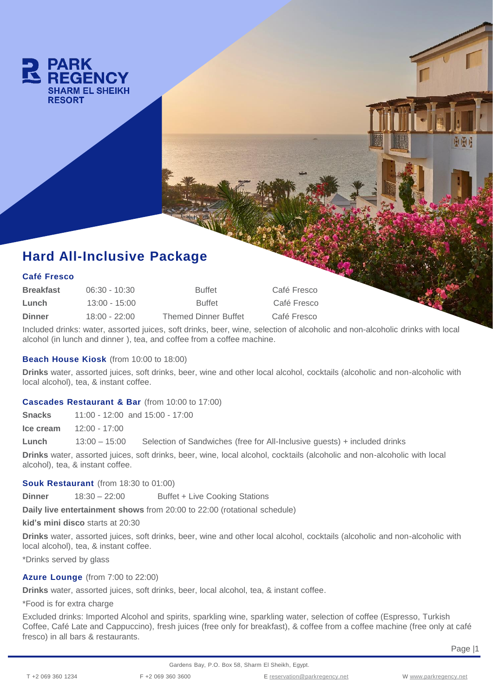

# **Hard All-Inclusive Package**

### **Café Fresco**

| <b>Breakfast</b> | $06:30 - 10:30$ | <b>Buffet</b>               | Café Fresco |
|------------------|-----------------|-----------------------------|-------------|
| Lunch            | $13:00 - 15:00$ | <b>Buffet</b>               | Café Fresco |
| <b>Dinner</b>    | $18:00 - 22:00$ | <b>Themed Dinner Buffet</b> | Café Fresco |

Included drinks: water, assorted juices, soft drinks, beer, wine, selection of alcoholic and non-alcoholic drinks with local alcohol (in lunch and dinner ), tea, and coffee from a coffee machine.

## **Beach House Kiosk** (from 10:00 to 18:00)

**Drinks** water, assorted juices, soft drinks, beer, wine and other local alcohol, cocktails (alcoholic and non-alcoholic with local alcohol), tea, & instant coffee.

#### **Cascades Restaurant & Bar** (from 10:00 to 17:00)

**Snacks** 11:00 - 12:00 and 15:00 - 17:00

**Ice cream** 12:00 - 17:00

**Lunch** 13:00 – 15:00 Selection of Sandwiches (free for All-Inclusive guests) + included drinks

**Drinks** water, assorted juices, soft drinks, beer, wine, local alcohol, cocktails (alcoholic and non-alcoholic with local alcohol), tea, & instant coffee.

### **Souk Restaurant** (from 18:30 to 01:00)

**Dinner** 18:30 – 22:00 Buffet + Live Cooking Stations

**Daily live entertainment shows** from 20:00 to 22:00 (rotational schedule)

**kid's mini disco** starts at 20:30

**Drinks** water, assorted juices, soft drinks, beer, wine and other local alcohol, cocktails (alcoholic and non-alcoholic with local alcohol), tea, & instant coffee.

\*Drinks served by glass

#### **Azure Lounge** (from 7:00 to 22:00)

**Drinks** water, assorted juices, soft drinks, beer, local alcohol, tea, & instant coffee.

\*Food is for extra charge

Excluded drinks: Imported Alcohol and spirits, sparkling wine, sparkling water, selection of coffee (Espresso, Turkish Coffee, Café Late and Cappuccino), fresh juices (free only for breakfast), & coffee from a coffee machine (free only at café fresco) in all bars & restaurants.